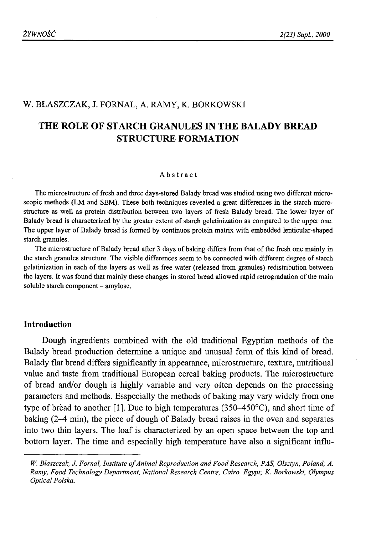## W. BŁASZCZAK, J. FORNAL, A. RAMY, K. BORKOWSKI

# **THE ROLE OF STARCH GRANULES IN THE BALADY BREAD STRUCTURE FORMATION**

#### Abstract

The microstructure of fresh and three days-stored Balady bread was studied using two different microscopic methods (LM and SEM). These both techniques revealed a great differences in the starch microstructure as well as protein distribution between two layers of fresh Balady bread. The lower layer of Balady bread is characterized by the greater extent of starch geletinization as compared to the upper one. The upper layer of Balady bread is formed by continuos protein matrix with embedded lenticular-shaped starch granules.

The microstructure of Balady bread after 3 days of baking differs from that of the fresh one mainly in the starch granules structure. The visible differences seem to be connected with different degree of starch gelatinization in each of the layers as well as free water (released from granules) redistribution between the layers. It was found that mainly these changes in stored bread allowed rapid retrogradation of the main soluble starch component - amylose.

## **Introduction**

Dough ingredients combined with the old traditional Egyptian methods of the Balady bread production determine a unique and unusual form of this kind of bread. Balady flat bread differs significantly in appearance, microstructure, texture, nutritional value and taste from traditional European cereal baking products. The microstructure of bread and/or dough is highly variable and very often depends on the processing parameters and methods. Esspecially the methods of baking may vary widely from one type of bread to another [1]. Due to high temperatures (350–450 $^{\circ}$ C), and short time of baking (2-4 min), the piece of dough of Balady bread raises in the oven and separates into two thin layers. The loaf is characterized by an open space between the top and bottom layer. The time and especially high temperature have also a significant influ-

W. Blaszczak, J. Fornal, Institute of Animal Reproduction and Food Research, PAS, Olsztyn, Poland; A. *Ramy, Food Technology Department, National Research Centre, Cairo, Egypt; K. Borkowski, Olympus Optical Polska.*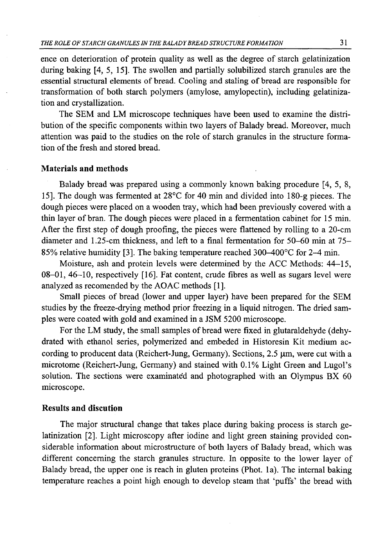ence on deterioration of protein quality as well as the degree of starch gelatinization during baking [4, 5, 15]. The swollen and partially solubilized starch granules are the essential structural elements of bread. Cooling and staling of bread are responsible for transformation of both starch polymers (amylose, amylopectin), including gelatinization and crystallization.

The SEM and LM microscope techniques have been used to examine the distribution of the specific components within two layers of Balady bread. Moreover, much attention was paid to the studies on the role of starch granules in the structure formation of the fresh and stored bread.

# **Materials and methods**

Balady bread was prepared using a commonly known baking procedure [4, 5, 8, 15]. The dough was fermented at 28°C for 40 min and divided into 180-g pieces. The dough pieces were placed on a wooden tray, which had been previously covered with a thin layer of bran. The dough pieces were placed in a fermentation cabinet for 15 min. After the first step of dough proofing, the pieces were flattened by rolling to a 20-cm diameter and 1.25-cm thickness, and left to a final fermentation for 50-60 min at 75- 85% relative humidity [3]. The baking temperature reached 300-400°C for 2-4 min.

Moisture, ash and protein levels were determined by the ACC Methods: 44-15, 08-01, 46-10, respectively [16]. Fat content, crude fibres as well as sugars level were analyzed as recomended by the AOAC methods [1].

Small pieces of bread (lower and upper layer) have been prepared for the SEM studies by the freeze-drying method prior freezing in a liquid nitrogen. The dried samples were coated with gold and examined in a JSM 5200 microscope.

For the LM study, the small samples of bread were fixed in glutaraldehyde (dehydrated with ethanol series, polymerized and embeded in Historesin Kit medium according to producent data (Reichert-Jung, Germany). Sections,  $2.5 \mu m$ , were cut with a microtome (Reichert-Jung, Germany) and stained with 0.1% Light Green and Lugol's solution. The sections were examinated and photographed with an Olympus BX 60 microscope.

## **Results and discution**

The major structural change that takes place during baking process is starch gelatinization [2]. Light microscopy after iodine and light green staining provided considerable information about microstructure of both layers of Balady bread, which was different concerning the starch granules structure. In opposite to the lower layer of Balady bread, the upper one is reach in gluten proteins (Phot. la). The internal baking temperature reaches a point high enough to develop steam that 'puffs' the bread with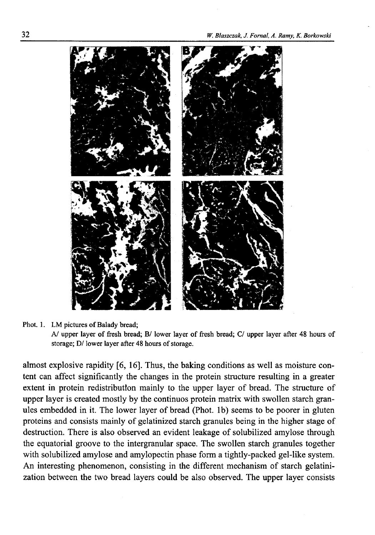

#### Phot. 1. LM pictures of Balady bread;

*AJ* upper layer of fresh bread; B/ lower layer of fresh bread; C/ upper layer after 48 hours of storage; D/ lower layer after 48 hours of storage.

almost explosive rapidity [6, 16]. Thus, the baking conditions as well as moisture content can affect significantly the changes in the protein structure resulting in a greater extent in protein redistribution mainly to the upper layer of bread. The structure of upper layer is created mostly by the continuos protein matrix with swollen starch granules embedded in it. The lower layer of bread (Phot, lb) seems to be poorer in gluten proteins and consists mainly of gelatinized starch granules being in the higher stage of destruction. There is also observed an evident leakage of solubilized amylose through the equatorial groove to the intergranular space. The swollen starch granules together with solubilized amylose and amylopectin phase form a tightly-packed gel-like system. An interesting phenomenon, consisting in the different mechanism of starch gelatinization between the two bread layers could be also observed. The upper layer consists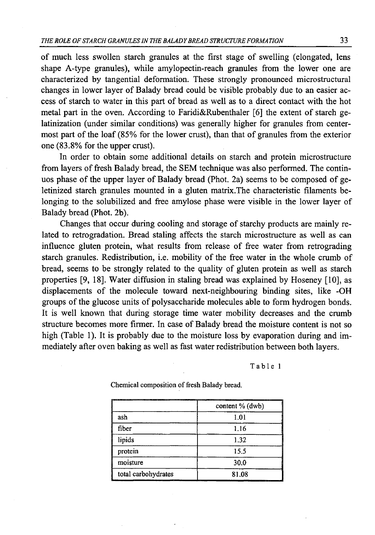of much less swollen starch granules at the first stage of swelling (elongated, lens shape A-type granules), while amylopectin-reach granules from the lower one are characterized by tangential deformation. These strongly pronounced microstructural changes in lower layer of Balady bread could be visible probably due to an easier access of starch to water in this part of bread as well as to a direct contact with the hot metal part in the oven. According to Faridi&Rubenthaler [6] the extent of starch gelatinization (under similar conditions) was generally higher for granules from centermost part of the loaf (85% for the lower crust), than that of granules from the exterior one (83.8% for the upper crust).

In order to obtain some additional details on starch and protein microstructure from layers of fresh Balady bread, the SEM technique was also performed. The continuos phase of the upper layer of Balady bread (Phot. 2a) seems to be composed of geletinized starch granules mounted in a gluten matrix.The characteristic filaments belonging to the solubilized and free amylose phase were visible in the lower layer of Balady bread (Phot. 2b).

Changes that occur during cooling and storage of starchy products are mainly related to retrogradation. Bread staling affects the starch microstructure as well as can influence gluten protein, what results from release of free water from retrograding starch granules. Redistribution, i.e. mobility of the free water in the whole crumb of bread, seems to be strongly related to the quality of gluten protein as well as starch properties [9, 18]. Water diffusion in staling bread was explained by Hoseney [10], as displacements of the molecule toward next-neighbouring binding sites, like -OH groups of the glucose units of polysaccharide molecules able to form hydrogen bonds. It is well known that during storage time water mobility decreases and the crumb structure becomes more firmer. In case of Balady bread the moisture content is not so high (Table 1). It is probably due to the moisture loss by evaporation during and immediately after oven baking as well as fast water redistribution between both layers.

**Table 1**

|                     | content % (dwb) |
|---------------------|-----------------|
| ash                 | 1.01            |
| fiber               | 1.16            |
| lipids              | 1.32            |
| protein             | 15.5            |
| moisture            | 30.0            |
| total carbohydrates | 81.08           |

Chemical composition of fresh Balady bread.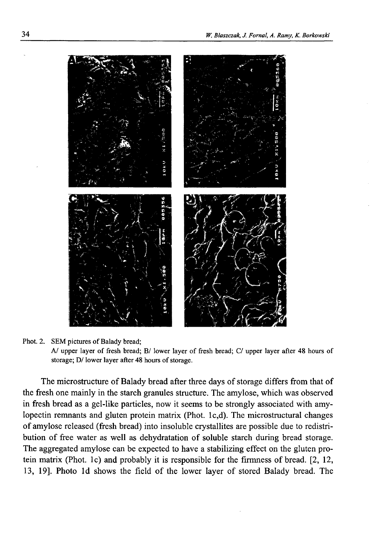

Phot. 2. SEM pictures of Balady bread;

*AJ* upper layer of fresh bread; B/ lower layer of fresh bread; C/ upper layer after 48 hours of storage; D/ lower layer after 48 hours of storage.

The microstructure of Balady bread after three days of storage differs from that of the fresh one mainly in the starch granules structure. The amylose, which was observed in fresh bread as a gel-like particles, now it seems to be strongly associated with amylopectin remnants and gluten protein matrix (Phot. lc,d). The microstructural changes of amylose released (fresh bread) into insoluble crystallites are possible due to redistribution of free water as well as dehydratation of soluble starch during bread storage. The aggregated amylose can be expected to have a stabilizing effect on the gluten protein matrix (Phot, lc) and probably it is responsible for the firmness of bread. [2, 12, 13, 19]. Photo Id shows the field of the lower layer of stored Balady bread. The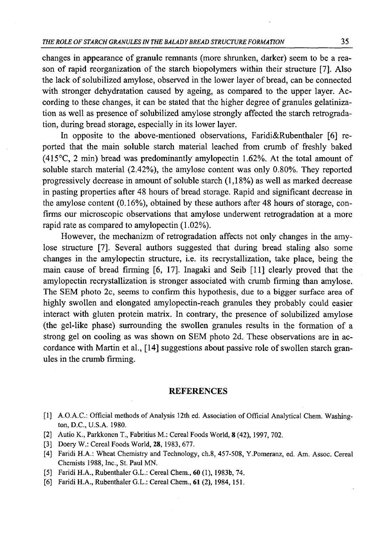changes in appearance of granule remnants (more shrunken, darker) seem to be a reason of rapid reorganization of the starch biopolymers within their structure [7]. Also the lack of solubilized amylose, observed in the lower layer of bread, can be connected with stronger dehydratation caused by ageing, as compared to the upper layer. According to these changes, it can be stated that the higher degree of granules gelatinization as well as presence of solubilized amylose strongly affected the starch retrogradation, during bread storage, especially in its lower layer.

In opposite to the above-mentioned observations, Faridi&Rubenthaler [6] reported that the main soluble starch material leached from crumb of freshly baked (415°C, 2 min) bread was predominantly amylopectin 1.62%. At the total amount of soluble starch material (2.42%), the amylose content was only 0.80%. They reported progressively decrease in amount of soluble starch (1,18%) as well as marked decrease in pasting properties after 48 hours of bread storage. Rapid and significant decrease in the amylose content (0.16%), obtained by these authors after 48 hours of storage, confirms our microscopic observations that amylose underwent retrogradation at a more rapid rate as compared to amylopectin (1.02%).

However, the mechanizm of retrogradation affects not only changes in the amylose structure [7]. Several authors suggested that during bread staling also some changes in the amylopectin structure, i.e. its recrystallization, take place, being the main cause of bread firming  $[6, 17]$ . Inagaki and Seib  $[11]$  clearly proved that the amylopectin recrystallization is stronger associated with crumb firming than amylose. The SEM photo 2c, seems to confirm this hypothesis, due to a bigger surface area of highly swollen and elongated amylopectin-reach granules they probably could easier interact with gluten protein matrix. In contrary, the presence of solubilized amylose (the gel-like phase) surrounding the swollen granules results in the formation of a strong gel on cooling as was shown on SEM photo 2d. These observations are in accordance with Martin et al., [14] suggestions about passive role of swollen starch granules in the crumb firming.

### **REFERENCES**

- [1] A.O.A.C.: Official methods of Analysis 12th ed. Association of Official Analytical Chem. Washington, D.C., U.S.A. 1980.
- [2] Autio K., Parkkonen T., Fabritius M.: Cereal Foods World, 8 (42), 1997, 702.
- [3] Doery W.: Cereal Foods World, **28,** 1983, 677.
- [4] Faridi H.A.: Wheat Chemistry and Technology, ch.8, 457-508, Y.Pomeranz, ed. Am. Assoc. Cereal Chemists 1988, Inc., St. Paul MN.
- [5] Faridi H.A., Rubenthaler G.L.: Cereal Chem., **60** (1), 1983b, 74.
- [6] Faridi H.A., Rubenthaler G.L.: Cereal Chem., **61** (2), 1984, 151.